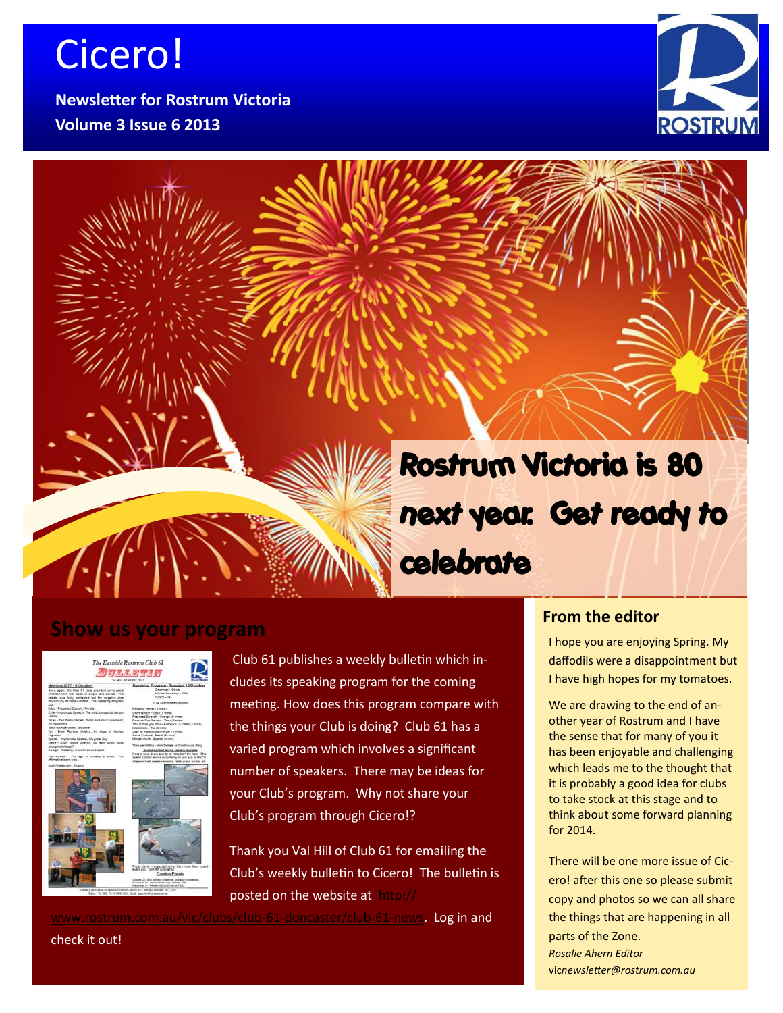# Cicero!

**Newsletter for Rostrum Victoria Volume 3 Issue 6 2013**



this issue

Open Source Revolution P.1  $\blacksquare$  $\sum_{i=1}^n$  $\sim$  1/1/1  $\sim$ 

# **Rostrum Victoria is 80 next year. Get ready to celebrate**

### **Show us your program**

The Eastside Rostrum Club 61 图可马马哥罗马可

Club 61 publishes a weekly bulletin which includes its speaking program for the coming meeting. How does this program compare with the things your Club is doing? Club 61 has a varied program which involves a significant number of speakers. There may be ideas for your Club's program. Why not share your Club's program through Cicero!?

Thank you Val Hill of Club 61 for emailing the Club's weekly bulletin to Cicero! The bulletin is posted on the website at [http://](http://www.rostrum.com.au/vic/clubs/club-61-doncaster/club-61-news)

[www.rostrum.com.au/vic/clubs/club](http://www.rostrum.com.au/vic/clubs/club-61-doncaster/club-61-news)-61-doncaster/club-61-news. Log in and

### **From the editor**

I hope you are enjoying Spring. My daffodils were a disappointment but I have high hopes for my tomatoes.

We are drawing to the end of another year of Rostrum and I have the sense that for many of you it has been enjoyable and challenging which leads me to the thought that it is probably a good idea for clubs to take stock at this stage and to think about some forward planning for 2014.

There will be one more issue of Cicero! after this one so please submit copy and photos so we can all share the things that are happening in all parts of the Zone. *Rosalie Ahern Editor* vic*newsletter@rostrum.com.au*

check it out!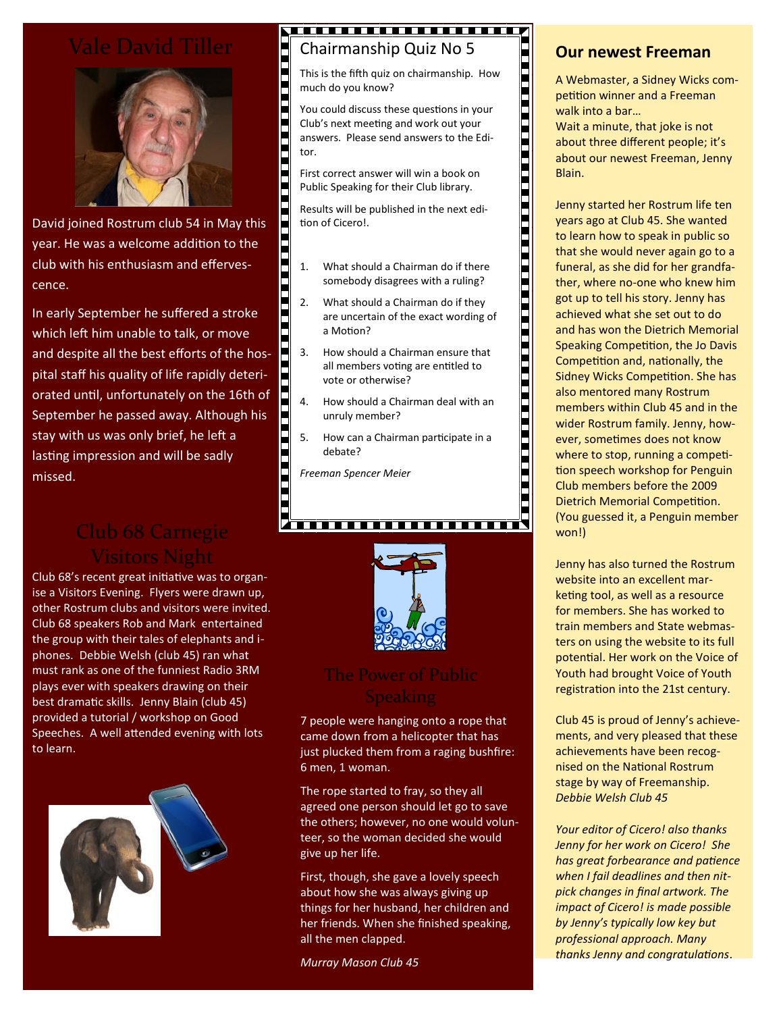# Vale David Tiller



David joined Rostrum club 54 in May this year. He was a welcome addition to the club with his enthusiasm and effervescence.

In early September he suffered a stroke which left him unable to talk, or move and despite all the best efforts of the hospital staff his quality of life rapidly deteriorated until, unfortunately on the 16th of September he passed away. Although his stay with us was only brief, he left a lasting impression and will be sadly missed.

### Club 68 Carnegie Visitors Night

Club 68's recent great initiative was to organise a Visitors Evening. Flyers were drawn up, other Rostrum clubs and visitors were invited. Club 68 speakers Rob and Mark entertained the group with their tales of elephants and iphones. Debbie Welsh (club 45) ran what must rank as one of the funniest Radio 3RM plays ever with speakers drawing on their best dramatic skills. Jenny Blain (club 45) provided a tutorial / workshop on Good Speeches. A well attended evening with lots to learn.



### <del>. . . . . . . . . . . . . . . . . . .</del> . Chairmanship Quiz No 5

This is the fifth quiz on chairmanship. How much do you know?

You could discuss these questions in your Club's next meeting and work out your answers. Please send answers to the Editor.

First correct answer will win a book on Public Speaking for their Club library.

<u>TA BITA DA BITA BATA DA BITA BITA BITA B</u>

Results will be published in the next edition of Cicero!.

1. What should a Chairman do if there somebody disagrees with a ruling?

- 2. What should a Chairman do if they are uncertain of the exact wording of a Motion?
- 3. How should a Chairman ensure that all members voting are entitled to vote or otherwise?
- 4. How should a Chairman deal with an unruly member?
- 5. How can a Chairman participate in a debate?
- *Freeman Spencer Meier*



### The Power of Public **Speaking**

7 people were hanging onto a rope that came down from a helicopter that has just plucked them from a raging bushfire: 6 men, 1 woman.

The rope started to fray, so they all agreed one person should let go to save the others; however, no one would volunteer, so the woman decided she would give up her life.

First, though, she gave a lovely speech about how she was always giving up things for her husband, her children and her friends. When she finished speaking, all the men clapped.

*Murray Mason Club 45*

### **Our newest Freeman**

A Webmaster, a Sidney Wicks competition winner and a Freeman walk into a bar…

Wait a minute, that joke is not about three different people; it's about our newest Freeman, Jenny Blain.

Jenny started her Rostrum life ten years ago at Club 45. She wanted to learn how to speak in public so that she would never again go to a funeral, as she did for her grandfather, where no-one who knew him got up to tell his story. Jenny has achieved what she set out to do and has won the Dietrich Memorial Speaking Competition, the Jo Davis Competition and, nationally, the Sidney Wicks Competition. She has also mentored many Rostrum members within Club 45 and in the wider Rostrum family. Jenny, however, sometimes does not know where to stop, running a competition speech workshop for Penguin Club members before the 2009 Dietrich Memorial Competition. (You guessed it, a Penguin member won!)

Jenny has also turned the Rostrum website into an excellent marketing tool, as well as a resource for members. She has worked to train members and State webmasters on using the website to its full potential. Her work on the Voice of Youth had brought Voice of Youth registration into the 21st century.

Club 45 is proud of Jenny's achievements, and very pleased that these achievements have been recognised on the National Rostrum stage by way of Freemanship. *Debbie Welsh Club 45*

*Your editor of Cicero! also thanks Jenny for her work on Cicero! She has great forbearance and patience when I fail deadlines and then nitpick changes in final artwork. The impact of Cicero! is made possible by Jenny's typically low key but professional approach. Many thanks Jenny and congratulations*.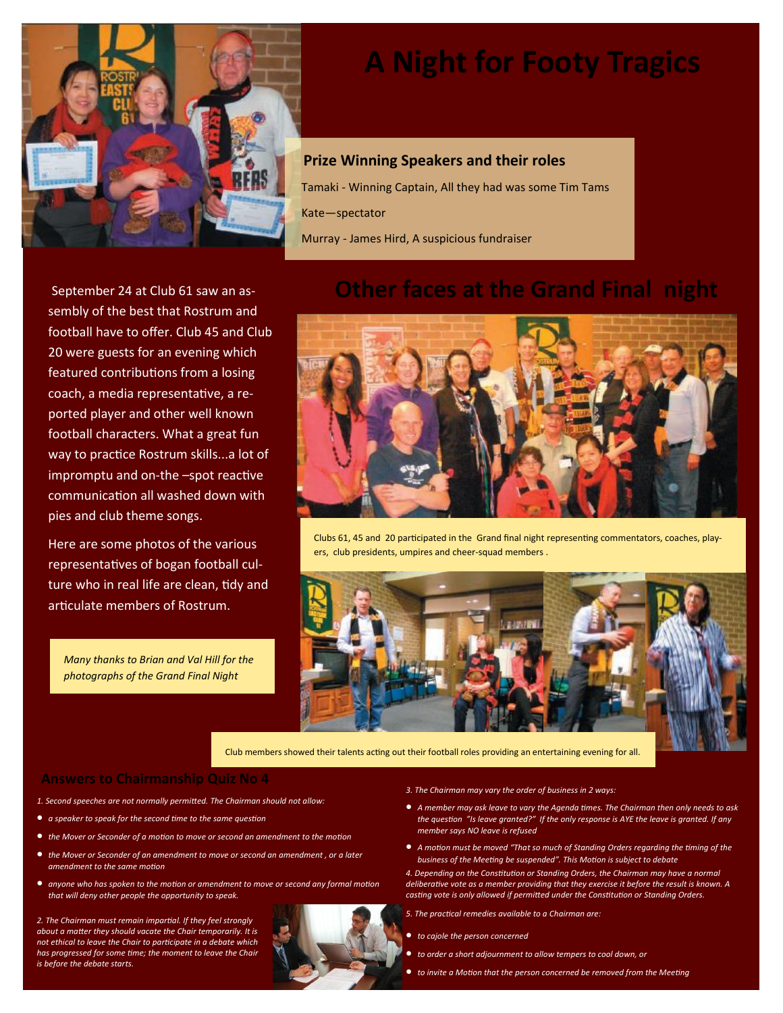

# **A Night for Footy Tragics**

### **Prize Winning Speakers and their roles**

Tamaki - Winning Captain, All they had was some Tim Tams Kate—spectator Murray - James Hird, A suspicious fundraiser

September 24 at Club 61 saw an assembly of the best that Rostrum and football have to offer. Club 45 and Club 20 were guests for an evening which featured contributions from a losing coach, a media representative, a reported player and other well known football characters. What a great fun way to practice Rostrum skills...a lot of impromptu and on-the –spot reactive communication all washed down with pies and club theme songs.

Here are some photos of the various representatives of bogan football culture who in real life are clean, tidy and articulate members of Rostrum.

*Many thanks to Brian and Val Hill for the photographs of the Grand Final Night*

## **Other faces at the Grand Final night**



Clubs 61, 45 and 20 participated in the Grand final night representing commentators, coaches, players, club presidents, umpires and cheer-squad members .



Club members showed their talents acting out their football roles providing an entertaining evening for all.

#### **Answers to Chairmanship Quiz No 4**

- *1. Second speeches are not normally permitted. The Chairman should not allow:*
- *a speaker to speak for the second time to the same question*
- *the Mover or Seconder of a motion to move or second an amendment to the motion*
- *the Mover or Seconder of an amendment to move or second an amendment , or a later amendment to the same motion*
- *anyone who has spoken to the motion or amendment to move or second any formal motion that will deny other people the opportunity to speak.*

*2. The Chairman must remain impartial. If they feel strongly about a matter they should vacate the Chair temporarily. It is not ethical to leave the Chair to participate in a debate which has progressed for some time; the moment to leave the Chair is before the debate starts.*

#### *3. The Chairman may vary the order of business in 2 ways:*

- *A member may ask leave to vary the Agenda times. The Chairman then only needs to ask the question "Is leave granted?" If the only response is AYE the leave is granted. If any member says NO leave is refused*
- *A motion must be moved "That so much of Standing Orders regarding the timing of the business of the Meeting be suspended". This Motion is subject to debate*
- *4. Depending on the Constitution or Standing Orders, the Chairman may have a normal deliberative vote as a member providing that they exercise it before the result is known. A casting vote is only allowed if permitted under the Constitution or Standing Orders.*
- *5. The practical remedies available to a Chairman are:*
- *to cajole the person concerned*
- *to order a short adjournment to allow tempers to cool down, or*
- *to invite a Motion that the person concerned be removed from the Meeting*